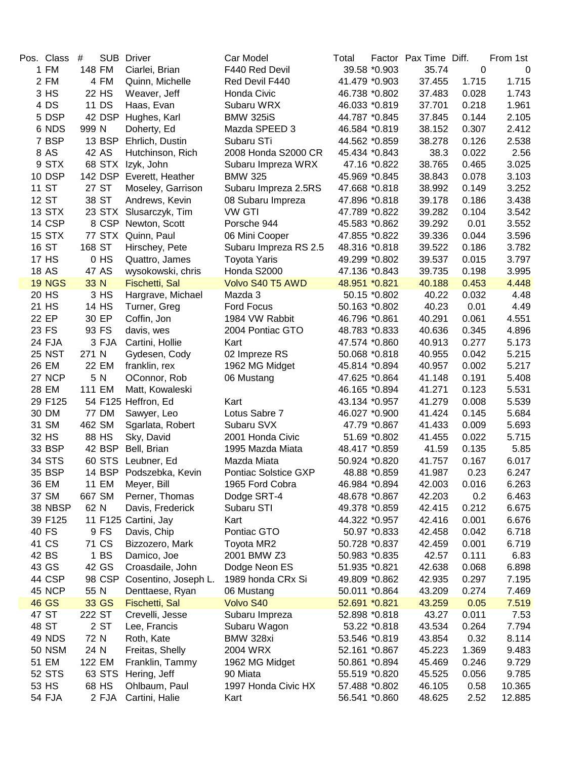| Pos. Class    | #      |              | <b>SUB Driver</b>       | Car Model             | Total         |               | Factor Pax Time Diff. |       | From 1st    |
|---------------|--------|--------------|-------------------------|-----------------------|---------------|---------------|-----------------------|-------|-------------|
| 1 FM          | 148 FM |              | Ciarlei, Brian          | F440 Red Devil        |               | 39.58 *0.903  | 35.74                 | 0     | $\mathbf 0$ |
| 2 FM          |        | 4 FM         | Quinn, Michelle         | Red Devil F440        |               | 41.479 *0.903 | 37.455                | 1.715 | 1.715       |
| 3 HS          |        | 22 HS        | Weaver, Jeff            | Honda Civic           | 46.738 *0.802 |               | 37.483                | 0.028 | 1.743       |
| 4 DS          |        | 11 DS        | Haas, Evan              | Subaru WRX            | 46.033 *0.819 |               | 37.701                | 0.218 | 1.961       |
| 5 DSP         |        | 42 DSP       | Hughes, Karl            | <b>BMW 325iS</b>      | 44.787 *0.845 |               | 37.845                | 0.144 | 2.105       |
| 6 NDS         | 999 N  |              | Doherty, Ed             | Mazda SPEED 3         |               | 46.584 *0.819 | 38.152                | 0.307 | 2.412       |
| 7 BSP         |        | 13 BSP       | Ehrlich, Dustin         | Subaru STi            | 44.562 *0.859 |               | 38.278                | 0.126 | 2.538       |
| 8 AS          |        | 42 AS        | Hutchinson, Rich        | 2008 Honda S2000 CR   | 45.434 *0.843 |               | 38.3                  | 0.022 | 2.56        |
| 9 STX         |        | 68 STX       | Izyk, John              | Subaru Impreza WRX    |               | 47.16 *0.822  | 38.765                | 0.465 | 3.025       |
| 10 DSP        |        | 142 DSP      | Everett, Heather        | <b>BMW 325</b>        | 45.969 *0.845 |               | 38.843                | 0.078 | 3.103       |
| 11 ST         |        | 27 ST        | Moseley, Garrison       | Subaru Impreza 2.5RS  | 47.668 *0.818 |               | 38.992                | 0.149 | 3.252       |
| 12 ST         |        | 38 ST        | Andrews, Kevin          | 08 Subaru Impreza     | 47.896 *0.818 |               | 39.178                | 0.186 | 3.438       |
| <b>13 STX</b> |        |              | 23 STX Slusarczyk, Tim  | <b>VW GTI</b>         | 47.789 *0.822 |               | 39.282                | 0.104 | 3.542       |
| 14 CSP        |        |              | 8 CSP Newton, Scott     | Porsche 944           | 45.583 *0.862 |               | 39.292                | 0.01  | 3.552       |
| 15 STX        |        |              | 77 STX Quinn, Paul      | 06 Mini Cooper        | 47.855 *0.822 |               | 39.336                | 0.044 | 3.596       |
| 16 ST         | 168 ST |              | Hirschey, Pete          | Subaru Impreza RS 2.5 | 48.316 *0.818 |               | 39.522                | 0.186 | 3.782       |
| 17 HS         |        | 0HS          | Quattro, James          | <b>Toyota Yaris</b>   | 49.299 *0.802 |               | 39.537                | 0.015 | 3.797       |
| <b>18 AS</b>  |        | 47 AS        | wysokowski, chris       | Honda S2000           | 47.136 *0.843 |               | 39.735                | 0.198 | 3.995       |
| <b>19 NGS</b> | 33 N   |              | Fischetti, Sal          | Volvo S40 T5 AWD      | 48.951 *0.821 |               | 40.188                | 0.453 | 4.448       |
| 20 HS         |        | 3 HS         | Hargrave, Michael       | Mazda 3               |               | 50.15 *0.802  | 40.22                 | 0.032 | 4.48        |
| 21 HS         |        | 14 HS        | Turner, Greg            | <b>Ford Focus</b>     | 50.163 *0.802 |               | 40.23                 | 0.01  | 4.49        |
| 22 EP         |        | 30 EP        | Coffin, Jon             | 1984 VW Rabbit        | 46.796 *0.861 |               | 40.291                | 0.061 | 4.551       |
| 23 FS         |        | 93 FS        | davis, wes              | 2004 Pontiac GTO      | 48.783 *0.833 |               | 40.636                | 0.345 | 4.896       |
| 24 FJA        |        | 3 FJA        | Cartini, Hollie         | Kart                  | 47.574 *0.860 |               | 40.913                | 0.277 | 5.173       |
| <b>25 NST</b> | 271 N  |              | Gydesen, Cody           | 02 Impreze RS         | 50.068 *0.818 |               | 40.955                | 0.042 | 5.215       |
| 26 EM         |        | 22 EM        | franklin, rex           | 1962 MG Midget        | 45.814 *0.894 |               | 40.957                | 0.002 | 5.217       |
| 27 NCP        |        | 5 N          | OConnor, Rob            | 06 Mustang            | 47.625 *0.864 |               | 41.148                | 0.191 | 5.408       |
| 28 EM         | 111 EM |              | Matt, Kowaleski         |                       | 46.165 *0.894 |               | 41.271                | 0.123 | 5.531       |
| 29 F125       |        |              | 54 F125 Heffron, Ed     | Kart                  | 43.134 *0.957 |               | 41.279                | 0.008 | 5.539       |
| 30 DM         |        | <b>77 DM</b> | Sawyer, Leo             | Lotus Sabre 7         | 46.027 *0.900 |               | 41.424                | 0.145 | 5.684       |
| 31 SM         | 462 SM |              | Sgarlata, Robert        | Subaru SVX            |               | 47.79 *0.867  | 41.433                | 0.009 | 5.693       |
| 32 HS         |        | 88 HS        | Sky, David              | 2001 Honda Civic      |               | 51.69 *0.802  | 41.455                | 0.022 | 5.715       |
| 33 BSP        |        | 42 BSP       | Bell, Brian             | 1995 Mazda Miata      | 48.417 *0.859 |               | 41.59                 | 0.135 | 5.85        |
| 34 STS        |        |              | 60 STS Leubner, Ed      | Mazda Miata           | 50.924 *0.820 |               | 41.757                | 0.167 | 6.017       |
| 35 BSP        |        |              | 14 BSP Podszebka, Kevin | Pontiac Solstice GXP  |               | 48.88 *0.859  | 41.987                | 0.23  | 6.247       |
| 36 EM         |        | 11 EM        | Meyer, Bill             | 1965 Ford Cobra       | 46.984 *0.894 |               | 42.003                | 0.016 | 6.263       |
| 37 SM         | 667 SM |              | Perner, Thomas          | Dodge SRT-4           | 48.678 *0.867 |               | 42.203                | 0.2   | 6.463       |
| 38 NBSP       | 62 N   |              | Davis, Frederick        | Subaru STI            | 49.378 *0.859 |               | 42.415                | 0.212 | 6.675       |
| 39 F125       |        |              | 11 F125 Cartini, Jay    | Kart                  | 44.322 *0.957 |               | 42.416                | 0.001 | 6.676       |
| 40 FS         |        | 9 FS         | Davis, Chip             | Pontiac GTO           |               | 50.97 *0.833  | 42.458                | 0.042 | 6.718       |
| 41 CS         |        | 71 CS        | Bizzozero, Mark         | Toyota MR2            | 50.728 *0.837 |               | 42.459                | 0.001 | 6.719       |
| 42 BS         |        | 1BS          | Damico, Joe             | 2001 BMW Z3           | 50.983 *0.835 |               | 42.57                 | 0.111 | 6.83        |
| 43 GS         |        | 42 GS        | Croasdaile, John        | Dodge Neon ES         | 51.935 *0.821 |               | 42.638                | 0.068 | 6.898       |
| 44 CSP        |        | 98 CSP       | Cosentino, Joseph L.    | 1989 honda CRx Si     | 49.809 *0.862 |               | 42.935                | 0.297 | 7.195       |
| 45 NCP        | 55 N   |              | Denttaese, Ryan         | 06 Mustang            | 50.011 *0.864 |               | 43.209                | 0.274 | 7.469       |
| 46 GS         |        | 33 GS        | Fischetti, Sal          | Volvo S40             | 52.691 *0.821 |               | 43.259                | 0.05  | 7.519       |
| 47 ST         | 222 ST |              | Crevelli, Jesse         | Subaru Impreza        | 52.898 *0.818 |               | 43.27                 | 0.011 | 7.53        |
| 48 ST         |        | 2 ST         | Lee, Francis            | Subaru Wagon          |               | 53.22 *0.818  | 43.534                | 0.264 | 7.794       |
| 49 NDS        | 72 N   |              | Roth, Kate              | BMW 328xi             | 53.546 *0.819 |               | 43.854                | 0.32  | 8.114       |
| <b>50 NSM</b> | 24 N   |              | Freitas, Shelly         | 2004 WRX              | 52.161 *0.867 |               | 45.223                | 1.369 | 9.483       |
| 51 EM         | 122 EM |              | Franklin, Tammy         | 1962 MG Midget        | 50.861 *0.894 |               | 45.469                | 0.246 | 9.729       |
| 52 STS        |        | 63 STS       | Hering, Jeff            | 90 Miata              | 55.519 *0.820 |               | 45.525                | 0.056 | 9.785       |
| 53 HS         |        | 68 HS        | Ohlbaum, Paul           | 1997 Honda Civic HX   | 57.488 *0.802 |               | 46.105                | 0.58  | 10.365      |
| 54 FJA        |        | 2 FJA        | Cartini, Halie          | Kart                  | 56.541 *0.860 |               | 48.625                | 2.52  | 12.885      |
|               |        |              |                         |                       |               |               |                       |       |             |